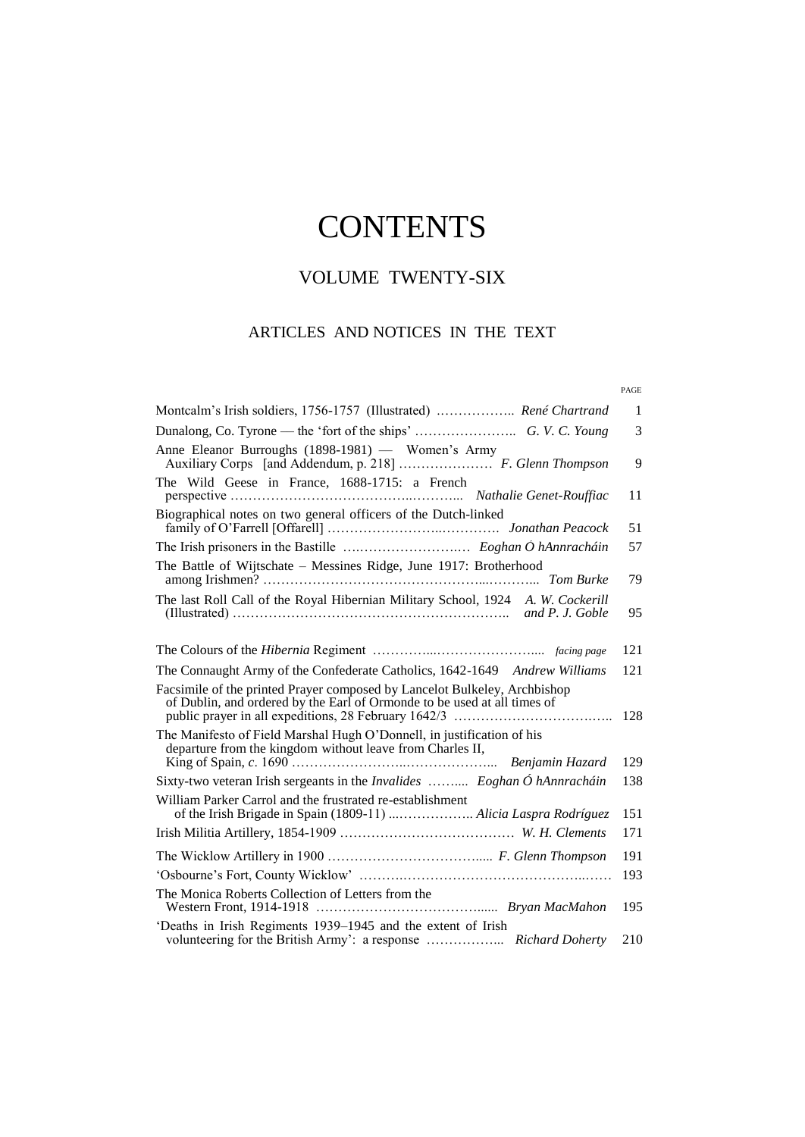# **CONTENTS**

## VOLUME TWENTY-SIX

#### ARTICLES AND NOTICES IN THE TEXT

#### PAGE

| Montcalm's Irish soldiers, 1756-1757 (Illustrated)  René Chartrand                                                                                                                       | $\mathbf{1}$ |
|------------------------------------------------------------------------------------------------------------------------------------------------------------------------------------------|--------------|
|                                                                                                                                                                                          | 3            |
| Anne Eleanor Burroughs (1898-1981) - Women's Army<br>Auxiliary Corps [and Addendum, p. 218]  F. Glenn Thompson                                                                           | 9            |
| The Wild Geese in France, 1688-1715: a French                                                                                                                                            | 11           |
| Biographical notes on two general officers of the Dutch-linked                                                                                                                           | 51           |
|                                                                                                                                                                                          | 57           |
| The Battle of Wijtschate - Messines Ridge, June 1917: Brotherhood                                                                                                                        | 79           |
| The last Roll Call of the Royal Hibernian Military School, 1924 A. W. Cockerill<br>(Illustrated) $\dots\dots\dots\dots\dots\dots\dots\dots\dots\dots\dots\dots\dots\dots\dots\dots\dots$ | 95           |
|                                                                                                                                                                                          | 121          |
| The Connaught Army of the Confederate Catholics, 1642-1649 Andrew Williams                                                                                                               | 121          |
| Facsimile of the printed Prayer composed by Lancelot Bulkeley, Archbishop<br>of Dublin, and ordered by the Earl of Ormonde to be used at all times of                                    | 128          |
| The Manifesto of Field Marshal Hugh O'Donnell, in justification of his<br>departure from the kingdom without leave from Charles II,                                                      |              |
|                                                                                                                                                                                          | 129          |
| Sixty-two veteran Irish sergeants in the <i>Invalides</i> Eoghan Ó hAnnracháin                                                                                                           | 138          |
| William Parker Carrol and the frustrated re-establishment<br>of the Irish Brigade in Spain (1809-11)  Alicia Laspra Rodríguez                                                            | 151          |
|                                                                                                                                                                                          | 171          |
|                                                                                                                                                                                          | 191          |
|                                                                                                                                                                                          | 193          |
| The Monica Roberts Collection of Letters from the                                                                                                                                        | 195          |
| 'Deaths in Irish Regiments 1939–1945 and the extent of Irish                                                                                                                             | 210          |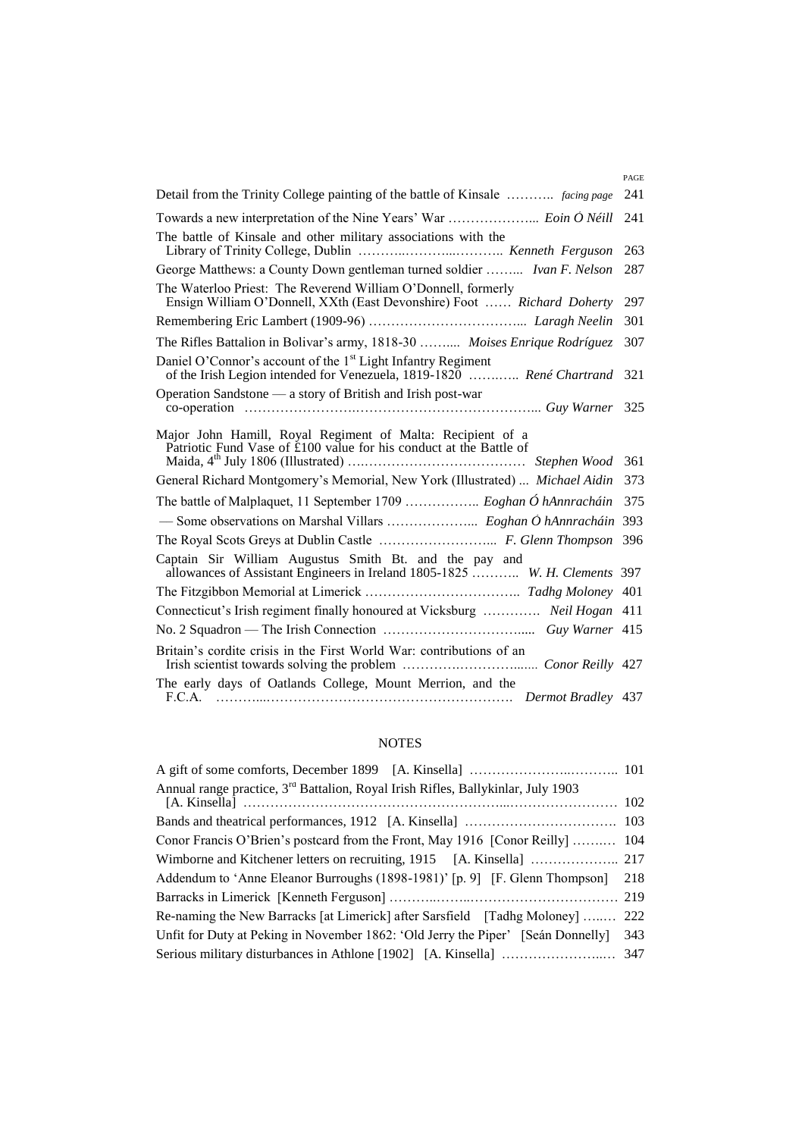|                                                                                                                                         | PAGE |
|-----------------------------------------------------------------------------------------------------------------------------------------|------|
| Detail from the Trinity College painting of the battle of Kinsale  facing page                                                          | 241  |
|                                                                                                                                         | 241  |
| The battle of Kinsale and other military associations with the                                                                          | 263  |
| George Matthews: a County Down gentleman turned soldier  Ivan F. Nelson                                                                 | 287  |
| The Waterloo Priest: The Reverend William O'Donnell, formerly<br>Ensign William O'Donnell, XXth (East Devonshire) Foot  Richard Doherty | 297  |
|                                                                                                                                         | 301  |
| The Rifles Battalion in Bolivar's army, 1818-30  Moises Enrique Rodríguez                                                               | 307  |
| Daniel O'Connor's account of the $1st$ Light Infantry Regiment<br>of the Irish Legion intended for Venezuela, 1819-1820  René Chartrand | 321  |
| Operation Sandstone — a story of British and Irish post-war                                                                             |      |
| Major John Hamill, Royal Regiment of Malta: Recipient of a<br>Patriotic Fund Vase of £100 value for his conduct at the Battle of        | 361  |
| General Richard Montgomery's Memorial, New York (Illustrated)  Michael Aidin                                                            | 373  |
| The battle of Malplaquet, 11 September 1709  Eoghan Ó hAnnracháin                                                                       | 375  |
|                                                                                                                                         |      |
|                                                                                                                                         | 396  |
| Captain Sir William Augustus Smith Bt. and the pay and<br>allowances of Assistant Engineers in Ireland 1805-1825  W. H. Clements 397    |      |
|                                                                                                                                         |      |
| Connecticut's Irish regiment finally honoured at Vicksburg  Neil Hogan 411                                                              |      |
|                                                                                                                                         |      |
| Britain's cordite crisis in the First World War: contributions of an                                                                    |      |
| The early days of Oatlands College, Mount Merrion, and the                                                                              |      |

#### NOTES

| Annual range practice, 3 <sup>rd</sup> Battalion, Royal Irish Rifles, Ballykinlar, July 1903 |     |
|----------------------------------------------------------------------------------------------|-----|
|                                                                                              |     |
| Conor Francis O'Brien's postcard from the Front, May 1916 [Conor Reilly]  104                |     |
|                                                                                              |     |
| Addendum to 'Anne Eleanor Burroughs (1898-1981)' [p. 9] [F. Glenn Thompson] 218              |     |
|                                                                                              |     |
| Re-naming the New Barracks [at Limerick] after Sarsfield [Tadhg Moloney]  222                |     |
| Unfit for Duty at Peking in November 1862: 'Old Jerry the Piper' [Seán Donnelly]             | 343 |
|                                                                                              |     |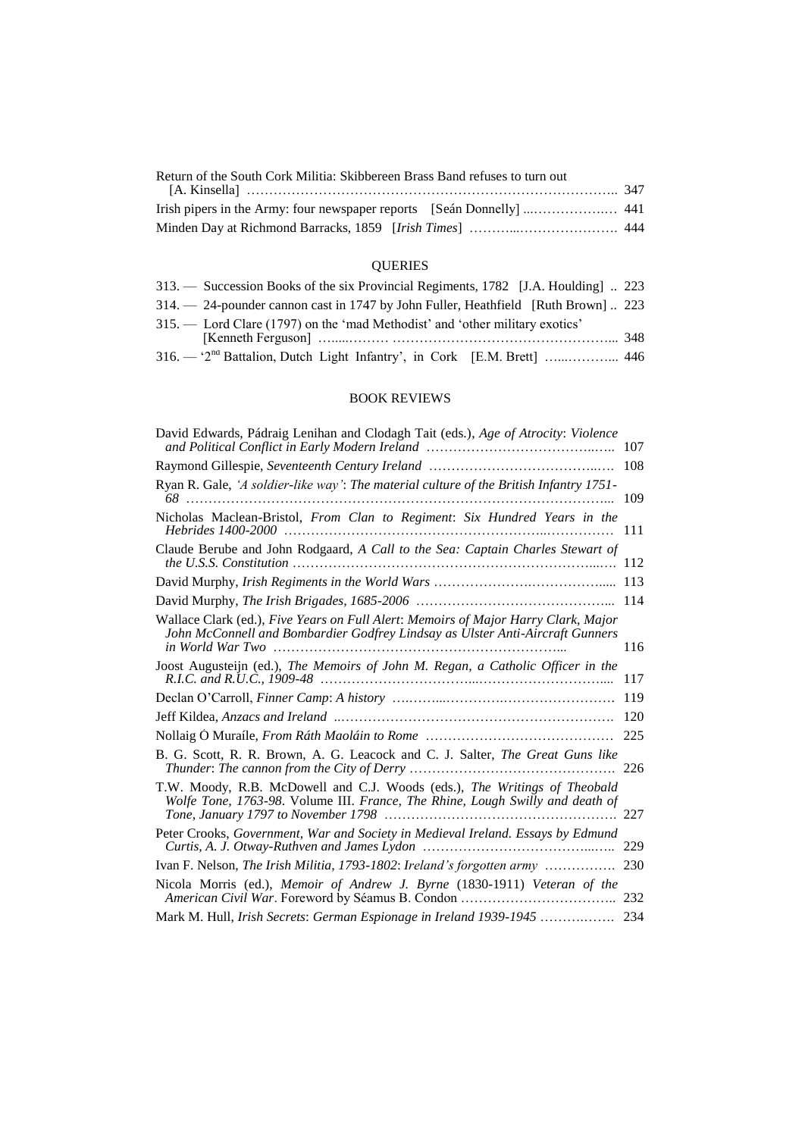| Return of the South Cork Militia: Skibbereen Brass Band refuses to turn out |  |
|-----------------------------------------------------------------------------|--|
|                                                                             |  |
|                                                                             |  |
|                                                                             |  |

### QUERIES

| 313. — Succession Books of the six Provincial Regiments, 1782 [J.A. Houlding]  223 |  |
|------------------------------------------------------------------------------------|--|
| 314. - 24-pounder cannon cast in 1747 by John Fuller, Heathfield [Ruth Brown]  223 |  |
| 315. — Lord Clare (1797) on the 'mad Methodist' and 'other military exotics'       |  |
|                                                                                    |  |
|                                                                                    |  |

#### BOOK REVIEWS

| David Edwards, Pádraig Lenihan and Clodagh Tait (eds.), Age of Atrocity: Violence                                                                                   | 107 |
|---------------------------------------------------------------------------------------------------------------------------------------------------------------------|-----|
|                                                                                                                                                                     | 108 |
| Ryan R. Gale, 'A soldier-like way': The material culture of the British Infantry 1751-                                                                              | 109 |
| Nicholas Maclean-Bristol, From Clan to Regiment: Six Hundred Years in the                                                                                           | 111 |
| Claude Berube and John Rodgaard, A Call to the Sea: Captain Charles Stewart of                                                                                      | 112 |
|                                                                                                                                                                     | 113 |
|                                                                                                                                                                     | 114 |
| Wallace Clark (ed.), Five Years on Full Alert: Memoirs of Major Harry Clark, Major<br>John McConnell and Bombardier Godfrey Lindsay as Ulster Anti-Aircraft Gunners | 116 |
| Joost Augusteijn (ed.), The Memoirs of John M. Regan, a Catholic Officer in the                                                                                     | 117 |
|                                                                                                                                                                     | 119 |
|                                                                                                                                                                     | 120 |
|                                                                                                                                                                     | 225 |
| B. G. Scott, R. R. Brown, A. G. Leacock and C. J. Salter, <i>The Great Guns like</i>                                                                                | 226 |
| T.W. Moody, R.B. McDowell and C.J. Woods (eds.), The Writings of Theobald<br>Wolfe Tone, 1763-98. Volume III. France, The Rhine, Lough Swilly and death of          | 227 |
| Peter Crooks, Government, War and Society in Medieval Ireland. Essays by Edmund                                                                                     | 229 |
|                                                                                                                                                                     |     |
| Nicola Morris (ed.), Memoir of Andrew J. Byrne (1830-1911) Veteran of the                                                                                           | 232 |
| Mark M. Hull, Irish Secrets: German Espionage in Ireland 1939-1945                                                                                                  | 234 |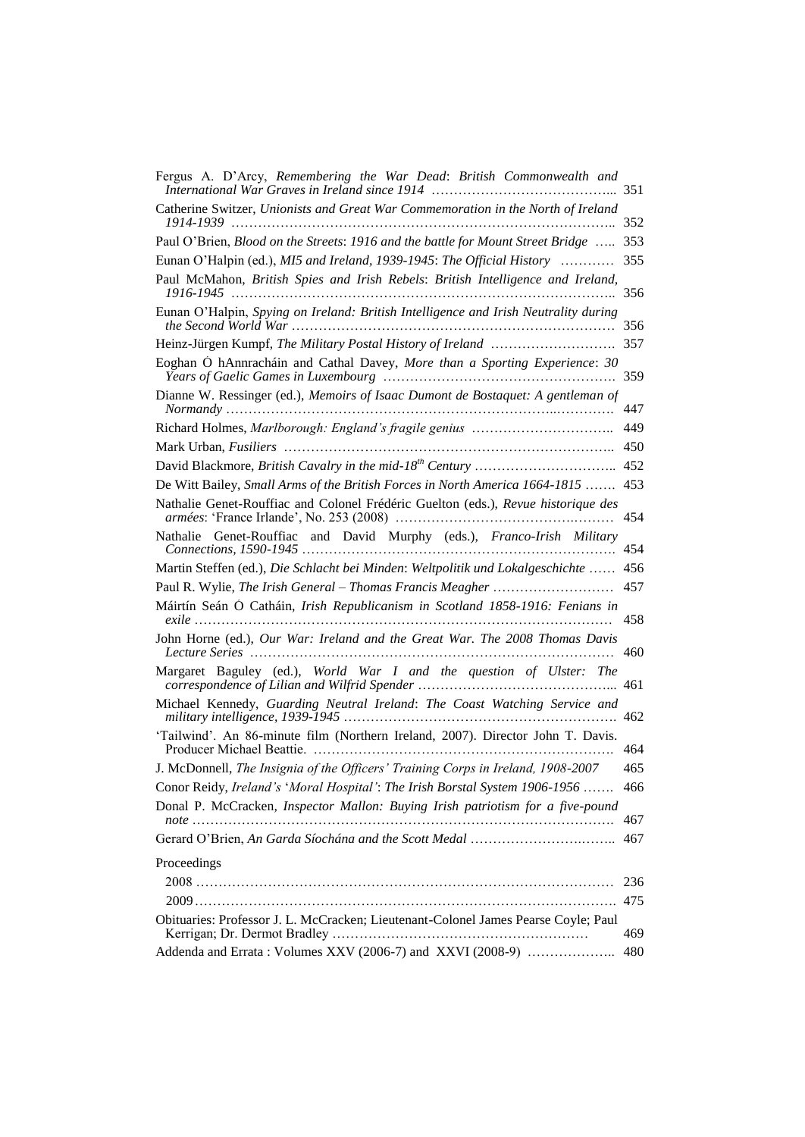| Fergus A. D'Arcy, Remembering the War Dead: British Commonwealth and<br>International War Graves in Ireland since 1914 | 351 |
|------------------------------------------------------------------------------------------------------------------------|-----|
| Catherine Switzer, Unionists and Great War Commemoration in the North of Ireland<br>1914-1939                          | 352 |
| Paul O'Brien, Blood on the Streets: 1916 and the battle for Mount Street Bridge                                        | 353 |
| Eunan O'Halpin (ed.), MI5 and Ireland, 1939-1945: The Official History                                                 | 355 |
| Paul McMahon, British Spies and Irish Rebels: British Intelligence and Ireland,                                        | 356 |
| Eunan O'Halpin, Spying on Ireland: British Intelligence and Irish Neutrality during                                    | 356 |
|                                                                                                                        | 357 |
| Eoghan Ó hAnnracháin and Cathal Davey, More than a Sporting Experience: 30                                             | 359 |
| Dianne W. Ressinger (ed.), Memoirs of Isaac Dumont de Bostaquet: A gentleman of                                        | 447 |
|                                                                                                                        | 449 |
|                                                                                                                        | 450 |
|                                                                                                                        | 452 |
| De Witt Bailey, Small Arms of the British Forces in North America 1664-1815                                            | 453 |
| Nathalie Genet-Rouffiac and Colonel Frédéric Guelton (eds.), Revue historique des                                      | 454 |
| Nathalie Genet-Rouffiac and David Murphy (eds.), Franco-Irish Military                                                 | 454 |
| Martin Steffen (ed.), Die Schlacht bei Minden: Weltpolitik und Lokalgeschichte                                         | 456 |
|                                                                                                                        | 457 |
| Máirtín Seán Ó Catháin, Irish Republicanism in Scotland 1858-1916: Fenians in<br>.                                     | 458 |
| John Horne (ed.), Our War: Ireland and the Great War. The 2008 Thomas Davis                                            | 460 |
| Margaret Baguley (ed.), World War I and the question of Ulster: The                                                    | 461 |
| Michael Kennedy, Guarding Neutral Ireland: The Coast Watching Service and                                              | 462 |
| 'Tailwind'. An 86-minute film (Northern Ireland, 2007). Director John T. Davis.<br>Producer Michael Beattie.           | 464 |
| J. McDonnell, The Insignia of the Officers' Training Corps in Ireland, 1908-2007                                       | 465 |
| Conor Reidy, Ireland's 'Moral Hospital': The Irish Borstal System 1906-1956                                            | 466 |
| Donal P. McCracken, Inspector Mallon: Buying Irish patriotism for a five-pound                                         | 467 |
|                                                                                                                        | 467 |
| Proceedings                                                                                                            |     |
|                                                                                                                        | 236 |
|                                                                                                                        | 475 |
| Obituaries: Professor J. L. McCracken; Lieutenant-Colonel James Pearse Coyle; Paul                                     | 469 |
| Addenda and Errata: Volumes XXV (2006-7) and XXVI (2008-9)                                                             | 480 |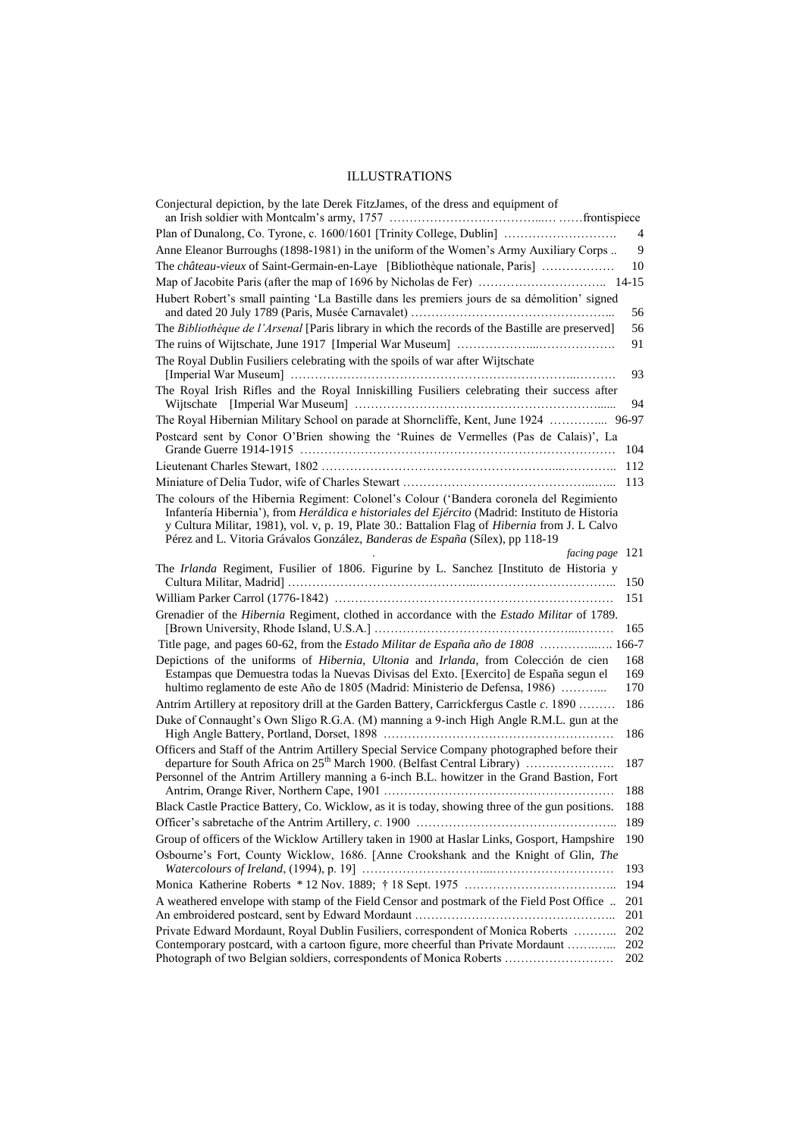#### ILLUSTRATIONS

| Conjectural depiction, by the late Derek FitzJames, of the dress and equipment of                                                                                                                                                                                                                                                                                              |                   |
|--------------------------------------------------------------------------------------------------------------------------------------------------------------------------------------------------------------------------------------------------------------------------------------------------------------------------------------------------------------------------------|-------------------|
| Plan of Dunalong, Co. Tyrone, c. 1600/1601 [Trinity College, Dublin]                                                                                                                                                                                                                                                                                                           | $\overline{4}$    |
| Anne Eleanor Burroughs (1898-1981) in the uniform of the Women's Army Auxiliary Corps                                                                                                                                                                                                                                                                                          | 9                 |
| The château-vieux of Saint-Germain-en-Laye [Bibliothèque nationale, Paris]                                                                                                                                                                                                                                                                                                     | 10                |
|                                                                                                                                                                                                                                                                                                                                                                                |                   |
| Hubert Robert's small painting 'La Bastille dans les premiers jours de sa démolition' signed                                                                                                                                                                                                                                                                                   | 56                |
| The Bibliothèque de l'Arsenal [Paris library in which the records of the Bastille are preserved]                                                                                                                                                                                                                                                                               | 56                |
|                                                                                                                                                                                                                                                                                                                                                                                | 91                |
| The Royal Dublin Fusiliers celebrating with the spoils of war after Wijtschate                                                                                                                                                                                                                                                                                                 | 93                |
| The Royal Irish Rifles and the Royal Inniskilling Fusiliers celebrating their success after                                                                                                                                                                                                                                                                                    | 94                |
| The Royal Hibernian Military School on parade at Shorncliffe, Kent, June 1924                                                                                                                                                                                                                                                                                                  | 96-97             |
| Postcard sent by Conor O'Brien showing the 'Ruines de Vermelles (Pas de Calais)', La                                                                                                                                                                                                                                                                                           | 104               |
|                                                                                                                                                                                                                                                                                                                                                                                | 112               |
|                                                                                                                                                                                                                                                                                                                                                                                | 113               |
| The colours of the Hibernia Regiment: Colonel's Colour ('Bandera coronela del Regimiento<br>Infantería Hibernia'), from Heráldica e historiales del Ejército (Madrid: Instituto de Historia<br>y Cultura Militar, 1981), vol. v, p. 19, Plate 30.: Battalion Flag of Hibernia from J. L Calvo<br>Pérez and L. Vitoria Grávalos González, Banderas de España (Sílex), pp 118-19 |                   |
| facing page 121                                                                                                                                                                                                                                                                                                                                                                |                   |
| The Irlanda Regiment, Fusilier of 1806. Figurine by L. Sanchez [Instituto de Historia y                                                                                                                                                                                                                                                                                        | 150               |
|                                                                                                                                                                                                                                                                                                                                                                                | 151               |
| Grenadier of the Hibernia Regiment, clothed in accordance with the Estado Militar of 1789.                                                                                                                                                                                                                                                                                     | 165               |
| Title page, and pages 60-62, from the <i>Estado Militar de España año de 1808</i> 166-7                                                                                                                                                                                                                                                                                        |                   |
| Depictions of the uniforms of Hibernia, Ultonia and Irlanda, from Colección de cien<br>Estampas que Demuestra todas la Nuevas Divisas del Exto. [Exercito] de España segun el<br>hultimo reglamento de este Año de 1805 (Madrid: Ministerio de Defensa, 1986)                                                                                                                  | 168<br>169<br>170 |
| Antrim Artillery at repository drill at the Garden Battery, Carrickfergus Castle c. 1890                                                                                                                                                                                                                                                                                       | 186               |
| Duke of Connaught's Own Sligo R.G.A. (M) manning a 9-inch High Angle R.M.L. gun at the                                                                                                                                                                                                                                                                                         | 186               |
| Officers and Staff of the Antrim Artillery Special Service Company photographed before their<br>departure for South Africa on 25 <sup>th</sup> March 1900. (Belfast Central Library)                                                                                                                                                                                           | 187               |
| Personnel of the Antrim Artillery manning a 6-inch B.L. howitzer in the Grand Bastion, Fort                                                                                                                                                                                                                                                                                    | 188               |
| Black Castle Practice Battery, Co. Wicklow, as it is today, showing three of the gun positions.                                                                                                                                                                                                                                                                                | 188               |
|                                                                                                                                                                                                                                                                                                                                                                                | 189               |
| Group of officers of the Wicklow Artillery taken in 1900 at Haslar Links, Gosport, Hampshire                                                                                                                                                                                                                                                                                   | 190               |
| Osbourne's Fort, County Wicklow, 1686. [Anne Crookshank and the Knight of Glin, The                                                                                                                                                                                                                                                                                            | 193               |
|                                                                                                                                                                                                                                                                                                                                                                                | 194               |
| A weathered envelope with stamp of the Field Censor and postmark of the Field Post Office                                                                                                                                                                                                                                                                                      | 201<br>201        |
| Private Edward Mordaunt, Royal Dublin Fusiliers, correspondent of Monica Roberts                                                                                                                                                                                                                                                                                               | 202               |
| Contemporary postcard, with a cartoon figure, more cheerful than Private Mordaunt<br>Photograph of two Belgian soldiers, correspondents of Monica Roberts                                                                                                                                                                                                                      | 202<br>202        |